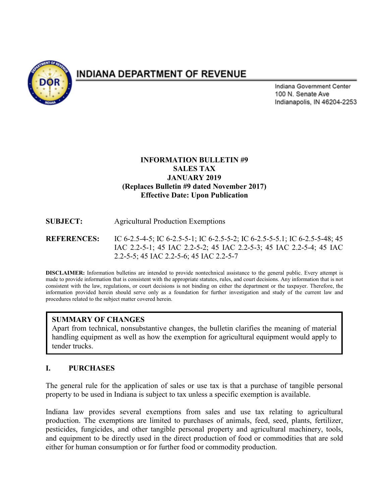

# **INDIANA DEPARTMENT OF REVENUE**

Indiana Government Center 100 N. Senate Ave Indianapolis, IN 46204-2253

## **INFORMATION BULLETIN #9 SALES TAX JANUARY 2019 (Replaces Bulletin #9 dated November 2017) Effective Date: Upon Publication**

**SUBJECT:** Agricultural Production Exemptions

**REFERENCES:** IC 6-2.5-4-5; IC 6-2.5-5-1; IC 6-2.5-5-2; IC 6-2.5-5-5.1; IC 6-2.5-5-48; 45 IAC 2.2-5-1; 45 IAC 2.2-5-2; 45 IAC 2.2-5-3; 45 IAC 2.2-5-4; 45 IAC 2.2-5-5; 45 IAC 2.2-5-6; 45 IAC 2.2-5-7

**DISCLAIMER:** Information bulletins are intended to provide nontechnical assistance to the general public. Every attempt is made to provide information that is consistent with the appropriate statutes, rules, and court decisions. Any information that is not consistent with the law, regulations, or court decisions is not binding on either the department or the taxpayer. Therefore, the information provided herein should serve only as a foundation for further investigation and study of the current law and procedures related to the subject matter covered herein.

#### **SUMMARY OF CHANGES**

Apart from technical, nonsubstantive changes, the bulletin clarifies the meaning of material handling equipment as well as how the exemption for agricultural equipment would apply to tender trucks.

## **I. PURCHASES**

The general rule for the application of sales or use tax is that a purchase of tangible personal property to be used in Indiana is subject to tax unless a specific exemption is available.

Indiana law provides several exemptions from sales and use tax relating to agricultural production. The exemptions are limited to purchases of animals, feed, seed, plants, fertilizer, pesticides, fungicides, and other tangible personal property and agricultural machinery, tools, and equipment to be directly used in the direct production of food or commodities that are sold either for human consumption or for further food or commodity production.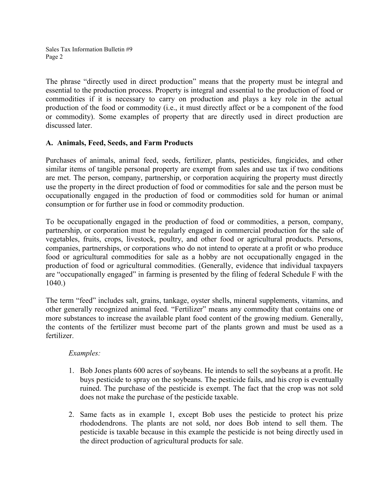The phrase "directly used in direct production" means that the property must be integral and essential to the production process. Property is integral and essential to the production of food or commodities if it is necessary to carry on production and plays a key role in the actual production of the food or commodity (i.e., it must directly affect or be a component of the food or commodity). Some examples of property that are directly used in direct production are discussed later.

## **A. Animals, Feed, Seeds, and Farm Products**

Purchases of animals, animal feed, seeds, fertilizer, plants, pesticides, fungicides, and other similar items of tangible personal property are exempt from sales and use tax if two conditions are met. The person, company, partnership, or corporation acquiring the property must directly use the property in the direct production of food or commodities for sale and the person must be occupationally engaged in the production of food or commodities sold for human or animal consumption or for further use in food or commodity production.

To be occupationally engaged in the production of food or commodities, a person, company, partnership, or corporation must be regularly engaged in commercial production for the sale of vegetables, fruits, crops, livestock, poultry, and other food or agricultural products. Persons, companies, partnerships, or corporations who do not intend to operate at a profit or who produce food or agricultural commodities for sale as a hobby are not occupationally engaged in the production of food or agricultural commodities. (Generally, evidence that individual taxpayers are "occupationally engaged" in farming is presented by the filing of federal Schedule F with the 1040.)

The term "feed" includes salt, grains, tankage, oyster shells, mineral supplements, vitamins, and other generally recognized animal feed. "Fertilizer" means any commodity that contains one or more substances to increase the available plant food content of the growing medium. Generally, the contents of the fertilizer must become part of the plants grown and must be used as a fertilizer.

## *Examples:*

- 1. Bob Jones plants 600 acres of soybeans. He intends to sell the soybeans at a profit. He buys pesticide to spray on the soybeans. The pesticide fails, and his crop is eventually ruined. The purchase of the pesticide is exempt. The fact that the crop was not sold does not make the purchase of the pesticide taxable.
- 2. Same facts as in example 1, except Bob uses the pesticide to protect his prize rhododendrons. The plants are not sold, nor does Bob intend to sell them. The pesticide is taxable because in this example the pesticide is not being directly used in the direct production of agricultural products for sale.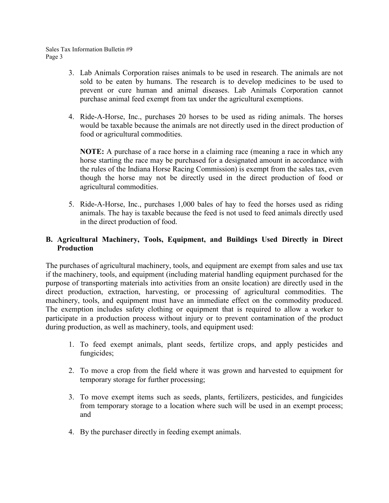- 3. Lab Animals Corporation raises animals to be used in research. The animals are not sold to be eaten by humans. The research is to develop medicines to be used to prevent or cure human and animal diseases. Lab Animals Corporation cannot purchase animal feed exempt from tax under the agricultural exemptions.
- 4. Ride-A-Horse, Inc., purchases 20 horses to be used as riding animals. The horses would be taxable because the animals are not directly used in the direct production of food or agricultural commodities.

**NOTE:** A purchase of a race horse in a claiming race (meaning a race in which any horse starting the race may be purchased for a designated amount in accordance with the rules of the Indiana Horse Racing Commission) is exempt from the sales tax, even though the horse may not be directly used in the direct production of food or agricultural commodities.

5. Ride-A-Horse, Inc., purchases 1,000 bales of hay to feed the horses used as riding animals. The hay is taxable because the feed is not used to feed animals directly used in the direct production of food.

## **B. Agricultural Machinery, Tools, Equipment, and Buildings Used Directly in Direct Production**

The purchases of agricultural machinery, tools, and equipment are exempt from sales and use tax if the machinery, tools, and equipment (including material handling equipment purchased for the purpose of transporting materials into activities from an onsite location) are directly used in the direct production, extraction, harvesting, or processing of agricultural commodities. The machinery, tools, and equipment must have an immediate effect on the commodity produced. The exemption includes safety clothing or equipment that is required to allow a worker to participate in a production process without injury or to prevent contamination of the product during production, as well as machinery, tools, and equipment used:

- 1. To feed exempt animals, plant seeds, fertilize crops, and apply pesticides and fungicides;
- 2. To move a crop from the field where it was grown and harvested to equipment for temporary storage for further processing;
- 3. To move exempt items such as seeds, plants, fertilizers, pesticides, and fungicides from temporary storage to a location where such will be used in an exempt process; and
- 4. By the purchaser directly in feeding exempt animals.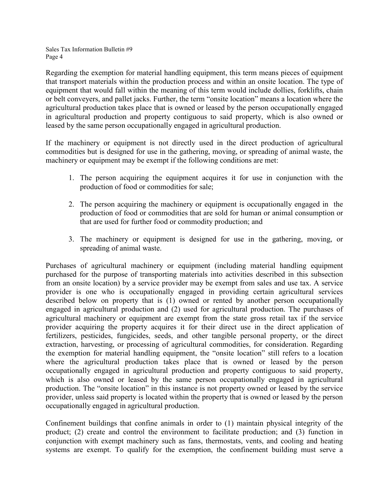Regarding the exemption for material handling equipment, this term means pieces of equipment that transport materials within the production process and within an onsite location. The type of equipment that would fall within the meaning of this term would include dollies, forklifts, chain or belt conveyers, and pallet jacks. Further, the term "onsite location" means a location where the agricultural production takes place that is owned or leased by the person occupationally engaged in agricultural production and property contiguous to said property, which is also owned or leased by the same person occupationally engaged in agricultural production.

If the machinery or equipment is not directly used in the direct production of agricultural commodities but is designed for use in the gathering, moving, or spreading of animal waste, the machinery or equipment may be exempt if the following conditions are met:

- 1. The person acquiring the equipment acquires it for use in conjunction with the production of food or commodities for sale;
- 2. The person acquiring the machinery or equipment is occupationally engaged in the production of food or commodities that are sold for human or animal consumption or that are used for further food or commodity production; and
- 3. The machinery or equipment is designed for use in the gathering, moving, or spreading of animal waste.

Purchases of agricultural machinery or equipment (including material handling equipment purchased for the purpose of transporting materials into activities described in this subsection from an onsite location) by a service provider may be exempt from sales and use tax. A service provider is one who is occupationally engaged in providing certain agricultural services described below on property that is (1) owned or rented by another person occupationally engaged in agricultural production and (2) used for agricultural production. The purchases of agricultural machinery or equipment are exempt from the state gross retail tax if the service provider acquiring the property acquires it for their direct use in the direct application of fertilizers, pesticides, fungicides, seeds, and other tangible personal property, or the direct extraction, harvesting, or processing of agricultural commodities, for consideration. Regarding the exemption for material handling equipment, the "onsite location" still refers to a location where the agricultural production takes place that is owned or leased by the person occupationally engaged in agricultural production and property contiguous to said property, which is also owned or leased by the same person occupationally engaged in agricultural production. The "onsite location" in this instance is not property owned or leased by the service provider, unless said property is located within the property that is owned or leased by the person occupationally engaged in agricultural production.

Confinement buildings that confine animals in order to (1) maintain physical integrity of the product; (2) create and control the environment to facilitate production; and (3) function in conjunction with exempt machinery such as fans, thermostats, vents, and cooling and heating systems are exempt. To qualify for the exemption, the confinement building must serve a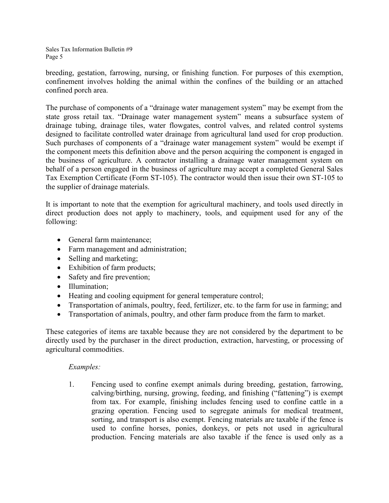breeding, gestation, farrowing, nursing, or finishing function. For purposes of this exemption, confinement involves holding the animal within the confines of the building or an attached confined porch area.

The purchase of components of a "drainage water management system" may be exempt from the state gross retail tax. "Drainage water management system" means a subsurface system of drainage tubing, drainage tiles, water flowgates, control valves, and related control systems designed to facilitate controlled water drainage from agricultural land used for crop production. Such purchases of components of a "drainage water management system" would be exempt if the component meets this definition above and the person acquiring the component is engaged in the business of agriculture. A contractor installing a drainage water management system on behalf of a person engaged in the business of agriculture may accept a completed General Sales Tax Exemption Certificate (Form ST-105). The contractor would then issue their own ST-105 to the supplier of drainage materials.

It is important to note that the exemption for agricultural machinery, and tools used directly in direct production does not apply to machinery, tools, and equipment used for any of the following:

- General farm maintenance;
- Farm management and administration;
- Selling and marketing;
- Exhibition of farm products;
- Safety and fire prevention;
- Illumination;
- Heating and cooling equipment for general temperature control;
- Transportation of animals, poultry, feed, fertilizer, etc. to the farm for use in farming; and
- Transportation of animals, poultry, and other farm produce from the farm to market.

These categories of items are taxable because they are not considered by the department to be directly used by the purchaser in the direct production, extraction, harvesting, or processing of agricultural commodities.

## *Examples:*

1. Fencing used to confine exempt animals during breeding, gestation, farrowing, calving/birthing, nursing, growing, feeding, and finishing ("fattening") is exempt from tax. For example, finishing includes fencing used to confine cattle in a grazing operation. Fencing used to segregate animals for medical treatment, sorting, and transport is also exempt. Fencing materials are taxable if the fence is used to confine horses, ponies, donkeys, or pets not used in agricultural production. Fencing materials are also taxable if the fence is used only as a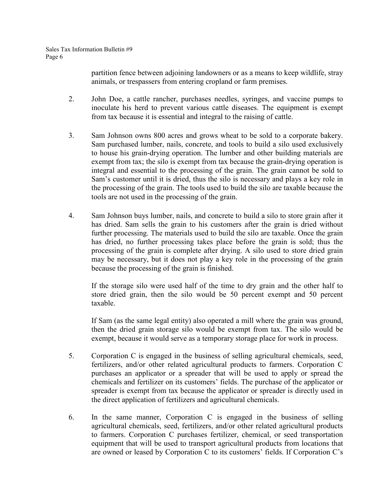> partition fence between adjoining landowners or as a means to keep wildlife, stray animals, or trespassers from entering cropland or farm premises.

- 2. John Doe, a cattle rancher, purchases needles, syringes, and vaccine pumps to inoculate his herd to prevent various cattle diseases. The equipment is exempt from tax because it is essential and integral to the raising of cattle.
- 3. Sam Johnson owns 800 acres and grows wheat to be sold to a corporate bakery. Sam purchased lumber, nails, concrete, and tools to build a silo used exclusively to house his grain-drying operation. The lumber and other building materials are exempt from tax; the silo is exempt from tax because the grain-drying operation is integral and essential to the processing of the grain. The grain cannot be sold to Sam's customer until it is dried, thus the silo is necessary and plays a key role in the processing of the grain. The tools used to build the silo are taxable because the tools are not used in the processing of the grain.
- 4. Sam Johnson buys lumber, nails, and concrete to build a silo to store grain after it has dried. Sam sells the grain to his customers after the grain is dried without further processing. The materials used to build the silo are taxable. Once the grain has dried, no further processing takes place before the grain is sold; thus the processing of the grain is complete after drying. A silo used to store dried grain may be necessary, but it does not play a key role in the processing of the grain because the processing of the grain is finished.

If the storage silo were used half of the time to dry grain and the other half to store dried grain, then the silo would be 50 percent exempt and 50 percent taxable.

If Sam (as the same legal entity) also operated a mill where the grain was ground, then the dried grain storage silo would be exempt from tax. The silo would be exempt, because it would serve as a temporary storage place for work in process.

- 5. Corporation C is engaged in the business of selling agricultural chemicals, seed, fertilizers, and/or other related agricultural products to farmers. Corporation C purchases an applicator or a spreader that will be used to apply or spread the chemicals and fertilizer on its customers' fields. The purchase of the applicator or spreader is exempt from tax because the applicator or spreader is directly used in the direct application of fertilizers and agricultural chemicals.
- 6. In the same manner, Corporation C is engaged in the business of selling agricultural chemicals, seed, fertilizers, and/or other related agricultural products to farmers. Corporation C purchases fertilizer, chemical, or seed transportation equipment that will be used to transport agricultural products from locations that are owned or leased by Corporation C to its customers' fields. If Corporation C's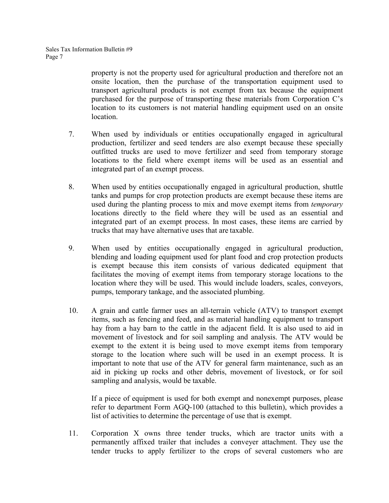property is not the property used for agricultural production and therefore not an onsite location, then the purchase of the transportation equipment used to transport agricultural products is not exempt from tax because the equipment purchased for the purpose of transporting these materials from Corporation C's location to its customers is not material handling equipment used on an onsite location.

- 7. When used by individuals or entities occupationally engaged in agricultural production, fertilizer and seed tenders are also exempt because these specially outfitted trucks are used to move fertilizer and seed from temporary storage locations to the field where exempt items will be used as an essential and integrated part of an exempt process.
- 8. When used by entities occupationally engaged in agricultural production, shuttle tanks and pumps for crop protection products are exempt because these items are used during the planting process to mix and move exempt items from *temporary* locations directly to the field where they will be used as an essential and integrated part of an exempt process. In most cases, these items are carried by trucks that may have alternative uses that are taxable.
- 9. When used by entities occupationally engaged in agricultural production, blending and loading equipment used for plant food and crop protection products is exempt because this item consists of various dedicated equipment that facilitates the moving of exempt items from temporary storage locations to the location where they will be used. This would include loaders, scales, conveyors, pumps, temporary tankage, and the associated plumbing.
- 10. A grain and cattle farmer uses an all-terrain vehicle (ATV) to transport exempt items, such as fencing and feed, and as material handling equipment to transport hay from a hay barn to the cattle in the adjacent field. It is also used to aid in movement of livestock and for soil sampling and analysis. The ATV would be exempt to the extent it is being used to move exempt items from temporary storage to the location where such will be used in an exempt process. It is important to note that use of the ATV for general farm maintenance, such as an aid in picking up rocks and other debris, movement of livestock, or for soil sampling and analysis, would be taxable.

If a piece of equipment is used for both exempt and nonexempt purposes, please refer to department Form AGQ-100 (attached to this bulletin), which provides a list of activities to determine the percentage of use that is exempt.

11. Corporation X owns three tender trucks, which are tractor units with a permanently affixed trailer that includes a conveyer attachment. They use the tender trucks to apply fertilizer to the crops of several customers who are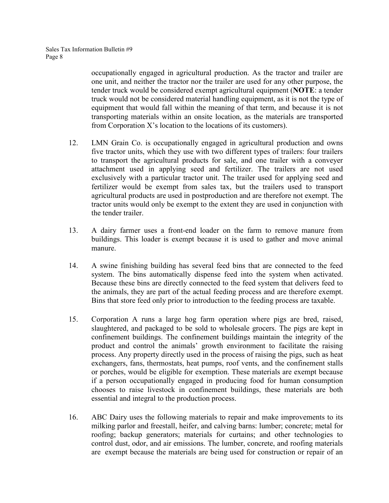occupationally engaged in agricultural production. As the tractor and trailer are one unit, and neither the tractor nor the trailer are used for any other purpose, the tender truck would be considered exempt agricultural equipment (**NOTE**: a tender truck would not be considered material handling equipment, as it is not the type of equipment that would fall within the meaning of that term, and because it is not transporting materials within an onsite location, as the materials are transported from Corporation X's location to the locations of its customers).

- 12. LMN Grain Co. is occupationally engaged in agricultural production and owns five tractor units, which they use with two different types of trailers: four trailers to transport the agricultural products for sale, and one trailer with a conveyer attachment used in applying seed and fertilizer. The trailers are not used exclusively with a particular tractor unit. The trailer used for applying seed and fertilizer would be exempt from sales tax, but the trailers used to transport agricultural products are used in postproduction and are therefore not exempt. The tractor units would only be exempt to the extent they are used in conjunction with the tender trailer.
- 13. A dairy farmer uses a front-end loader on the farm to remove manure from buildings. This loader is exempt because it is used to gather and move animal manure.
- 14. A swine finishing building has several feed bins that are connected to the feed system. The bins automatically dispense feed into the system when activated. Because these bins are directly connected to the feed system that delivers feed to the animals, they are part of the actual feeding process and are therefore exempt. Bins that store feed only prior to introduction to the feeding process are taxable.
- 15. Corporation A runs a large hog farm operation where pigs are bred, raised, slaughtered, and packaged to be sold to wholesale grocers. The pigs are kept in confinement buildings. The confinement buildings maintain the integrity of the product and control the animals' growth environment to facilitate the raising process. Any property directly used in the process of raising the pigs, such as heat exchangers, fans, thermostats, heat pumps, roof vents, and the confinement stalls or porches, would be eligible for exemption. These materials are exempt because if a person occupationally engaged in producing food for human consumption chooses to raise livestock in confinement buildings, these materials are both essential and integral to the production process.
- 16. ABC Dairy uses the following materials to repair and make improvements to its milking parlor and freestall, heifer, and calving barns: lumber; concrete; metal for roofing; backup generators; materials for curtains; and other technologies to control dust, odor, and air emissions. The lumber, concrete, and roofing materials are exempt because the materials are being used for construction or repair of an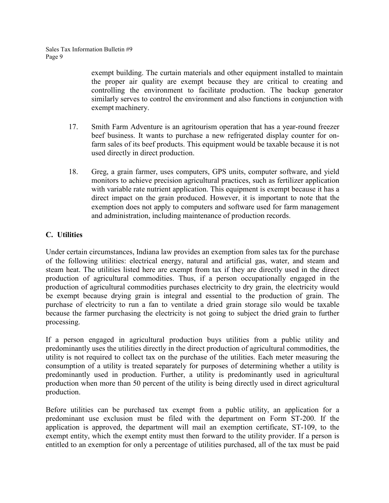exempt building. The curtain materials and other equipment installed to maintain the proper air quality are exempt because they are critical to creating and controlling the environment to facilitate production. The backup generator similarly serves to control the environment and also functions in conjunction with exempt machinery.

- 17. Smith Farm Adventure is an agritourism operation that has a year-round freezer beef business. It wants to purchase a new refrigerated display counter for onfarm sales of its beef products. This equipment would be taxable because it is not used directly in direct production.
- 18. Greg, a grain farmer, uses computers, GPS units, computer software, and yield monitors to achieve precision agricultural practices, such as fertilizer application with variable rate nutrient application. This equipment is exempt because it has a direct impact on the grain produced. However, it is important to note that the exemption does not apply to computers and software used for farm management and administration, including maintenance of production records.

# **C. Utilities**

Under certain circumstances, Indiana law provides an exemption from sales tax for the purchase of the following utilities: electrical energy, natural and artificial gas, water, and steam and steam heat. The utilities listed here are exempt from tax if they are directly used in the direct production of agricultural commodities. Thus, if a person occupationally engaged in the production of agricultural commodities purchases electricity to dry grain, the electricity would be exempt because drying grain is integral and essential to the production of grain. The purchase of electricity to run a fan to ventilate a dried grain storage silo would be taxable because the farmer purchasing the electricity is not going to subject the dried grain to further processing.

If a person engaged in agricultural production buys utilities from a public utility and predominantly uses the utilities directly in the direct production of agricultural commodities, the utility is not required to collect tax on the purchase of the utilities. Each meter measuring the consumption of a utility is treated separately for purposes of determining whether a utility is predominantly used in production. Further, a utility is predominantly used in agricultural production when more than 50 percent of the utility is being directly used in direct agricultural production.

Before utilities can be purchased tax exempt from a public utility, an application for a predominant use exclusion must be filed with the department on Form ST-200. If the application is approved, the department will mail an exemption certificate, ST-109, to the exempt entity, which the exempt entity must then forward to the utility provider. If a person is entitled to an exemption for only a percentage of utilities purchased, all of the tax must be paid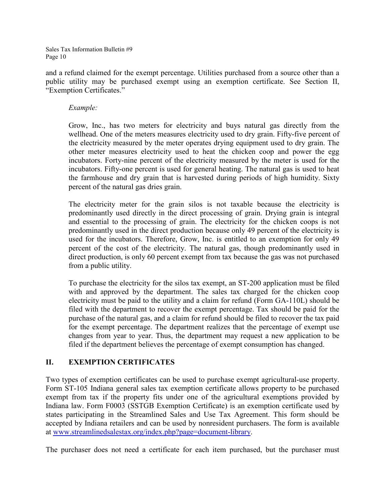and a refund claimed for the exempt percentage. Utilities purchased from a source other than a public utility may be purchased exempt using an exemption certificate. See Section II, "Exemption Certificates."

#### *Example:*

Grow, Inc., has two meters for electricity and buys natural gas directly from the wellhead. One of the meters measures electricity used to dry grain. Fifty-five percent of the electricity measured by the meter operates drying equipment used to dry grain. The other meter measures electricity used to heat the chicken coop and power the egg incubators. Forty-nine percent of the electricity measured by the meter is used for the incubators. Fifty-one percent is used for general heating. The natural gas is used to heat the farmhouse and dry grain that is harvested during periods of high humidity. Sixty percent of the natural gas dries grain.

The electricity meter for the grain silos is not taxable because the electricity is predominantly used directly in the direct processing of grain. Drying grain is integral and essential to the processing of grain. The electricity for the chicken coops is not predominantly used in the direct production because only 49 percent of the electricity is used for the incubators. Therefore, Grow, Inc. is entitled to an exemption for only 49 percent of the cost of the electricity. The natural gas, though predominantly used in direct production, is only 60 percent exempt from tax because the gas was not purchased from a public utility.

To purchase the electricity for the silos tax exempt, an ST-200 application must be filed with and approved by the department. The sales tax charged for the chicken coop electricity must be paid to the utility and a claim for refund (Form GA-110L) should be filed with the department to recover the exempt percentage. Tax should be paid for the purchase of the natural gas, and a claim for refund should be filed to recover the tax paid for the exempt percentage. The department realizes that the percentage of exempt use changes from year to year. Thus, the department may request a new application to be filed if the department believes the percentage of exempt consumption has changed.

## **II. EXEMPTION CERTIFICATES**

Two types of exemption certificates can be used to purchase exempt agricultural-use property. Form ST-105 Indiana general sales tax exemption certificate allows property to be purchased exempt from tax if the property fits under one of the agricultural exemptions provided by Indiana law. Form F0003 (SSTGB Exemption Certificate) is an exemption certificate used by states participating in the Streamlined Sales and Use Tax Agreement. This form should be accepted by Indiana retailers and can be used by nonresident purchasers. The form is available at [www.streamlinedsalestax.org/index.php?page=document-library.](http://www.streamlinedsalestax.org/index.php?page=document-library)

The purchaser does not need a certificate for each item purchased, but the purchaser must